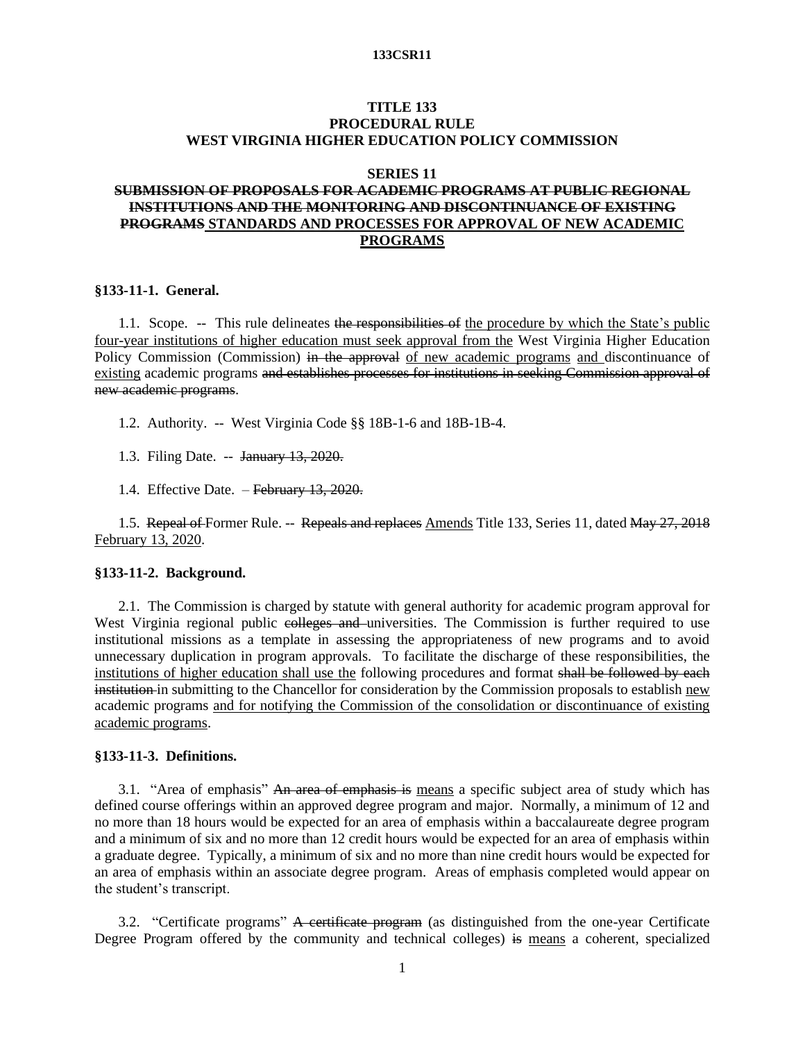# **TITLE 133 PROCEDURAL RULE WEST VIRGINIA HIGHER EDUCATION POLICY COMMISSION**

# **SERIES 11**

# **SUBMISSION OF PROPOSALS FOR ACADEMIC PROGRAMS AT PUBLIC REGIONAL INSTITUTIONS AND THE MONITORING AND DISCONTINUANCE OF EXISTING PROGRAMS STANDARDS AND PROCESSES FOR APPROVAL OF NEW ACADEMIC PROGRAMS**

# **§133-11-1. General.**

1.1. Scope. -- This rule delineates the responsibilities of the procedure by which the State's public four-year institutions of higher education must seek approval from the West Virginia Higher Education Policy Commission (Commission) in the approval of new academic programs and discontinuance of existing academic programs and establishes processes for institutions in seeking Commission approval of new academic programs.

1.2. Authority. -- West Virginia Code §§ 18B-1-6 and 18B-1B-4.

1.3. Filing Date. -- January 13, 2020.

1.4. Effective Date. – February 13, 2020.

1.5. Repeal of Former Rule. -- Repeals and replaces Amends Title 133, Series 11, dated May 27, 2018 February 13, 2020.

# **§133-11-2. Background.**

2.1. The Commission is charged by statute with general authority for academic program approval for West Virginia regional public colleges and universities. The Commission is further required to use institutional missions as a template in assessing the appropriateness of new programs and to avoid unnecessary duplication in program approvals. To facilitate the discharge of these responsibilities, the institutions of higher education shall use the following procedures and format shall be followed by each institution in submitting to the Chancellor for consideration by the Commission proposals to establish new academic programs and for notifying the Commission of the consolidation or discontinuance of existing academic programs.

# **§133-11-3. Definitions.**

3.1. "Area of emphasis" An area of emphasis is means a specific subject area of study which has defined course offerings within an approved degree program and major. Normally, a minimum of 12 and no more than 18 hours would be expected for an area of emphasis within a baccalaureate degree program and a minimum of six and no more than 12 credit hours would be expected for an area of emphasis within a graduate degree. Typically, a minimum of six and no more than nine credit hours would be expected for an area of emphasis within an associate degree program. Areas of emphasis completed would appear on the student's transcript.

3.2. "Certificate programs" A certificate program (as distinguished from the one-year Certificate Degree Program offered by the community and technical colleges) is means a coherent, specialized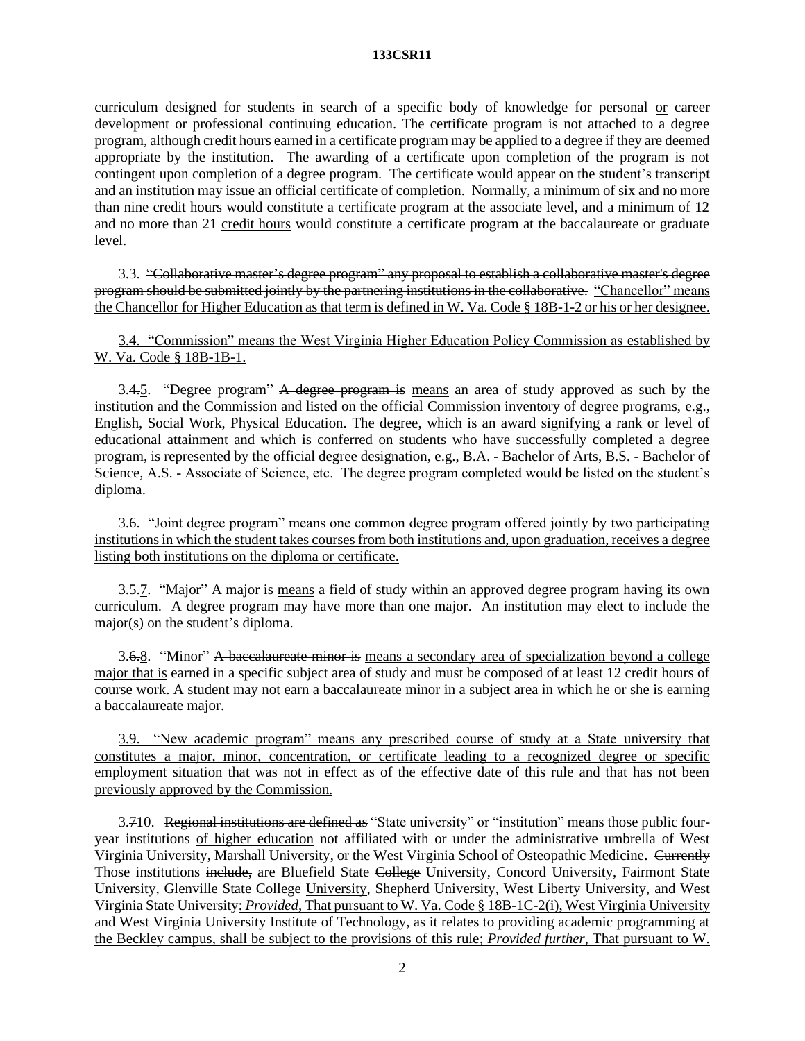curriculum designed for students in search of a specific body of knowledge for personal or career development or professional continuing education. The certificate program is not attached to a degree program, although credit hours earned in a certificate program may be applied to a degree if they are deemed appropriate by the institution. The awarding of a certificate upon completion of the program is not contingent upon completion of a degree program. The certificate would appear on the student's transcript and an institution may issue an official certificate of completion. Normally, a minimum of six and no more than nine credit hours would constitute a certificate program at the associate level, and a minimum of 12 and no more than 21 credit hours would constitute a certificate program at the baccalaureate or graduate level.

3.3. "Collaborative master's degree program" any proposal to establish a collaborative master's degree program should be submitted jointly by the partnering institutions in the collaborative. "Chancellor" means the Chancellor for Higher Education as that term is defined in W. Va. Code § 18B-1-2 or his or her designee.

3.4. "Commission" means the West Virginia Higher Education Policy Commission as established by W. Va. Code § 18B-1B-1.

3.4.5. "Degree program" A degree program is means an area of study approved as such by the institution and the Commission and listed on the official Commission inventory of degree programs, e.g., English, Social Work, Physical Education. The degree, which is an award signifying a rank or level of educational attainment and which is conferred on students who have successfully completed a degree program, is represented by the official degree designation, e.g., B.A. - Bachelor of Arts, B.S. - Bachelor of Science, A.S. - Associate of Science, etc. The degree program completed would be listed on the student's diploma.

3.6. "Joint degree program" means one common degree program offered jointly by two participating institutions in which the student takes courses from both institutions and, upon graduation, receives a degree listing both institutions on the diploma or certificate.

3.5.7. "Major" A major is means a field of study within an approved degree program having its own curriculum. A degree program may have more than one major. An institution may elect to include the major(s) on the student's diploma.

3.6.8. "Minor" A baccalaureate minor is means a secondary area of specialization beyond a college major that is earned in a specific subject area of study and must be composed of at least 12 credit hours of course work. A student may not earn a baccalaureate minor in a subject area in which he or she is earning a baccalaureate major.

3.9. "New academic program" means any prescribed course of study at a State university that constitutes a major, minor, concentration, or certificate leading to a recognized degree or specific employment situation that was not in effect as of the effective date of this rule and that has not been previously approved by the Commission.

3.710. Regional institutions are defined as "State university" or "institution" means those public fouryear institutions of higher education not affiliated with or under the administrative umbrella of West Virginia University, Marshall University, or the West Virginia School of Osteopathic Medicine. Currently Those institutions include, are Bluefield State College University, Concord University, Fairmont State University, Glenville State College University, Shepherd University, West Liberty University, and West Virginia State University: *Provided*, That pursuant to W. Va. Code § 18B-1C-2(i), West Virginia University and West Virginia University Institute of Technology, as it relates to providing academic programming at the Beckley campus, shall be subject to the provisions of this rule; *Provided further*, That pursuant to W.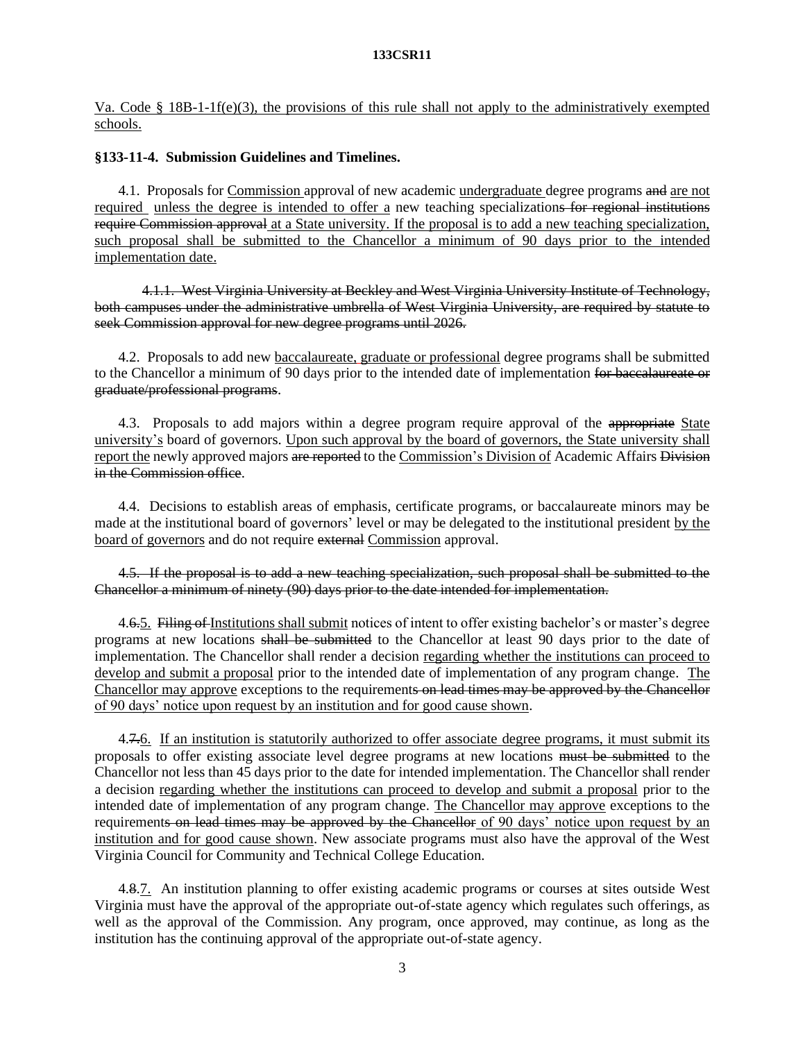Va. Code § 18B-1-1f(e)(3), the provisions of this rule shall not apply to the administratively exempted schools.

# **§133-11-4. Submission Guidelines and Timelines.**

4.1. Proposals for Commission approval of new academic undergraduate degree programs and are not required unless the degree is intended to offer a new teaching specializations for regional institutions require Commission approval at a State university. If the proposal is to add a new teaching specialization, such proposal shall be submitted to the Chancellor a minimum of 90 days prior to the intended implementation date.

4.1.1. West Virginia University at Beckley and West Virginia University Institute of Technology, both campuses under the administrative umbrella of West Virginia University, are required by statute to seek Commission approval for new degree programs until 2026.

4.2. Proposals to add new baccalaureate, graduate or professional degree programs shall be submitted to the Chancellor a minimum of 90 days prior to the intended date of implementation for baccalaureate or graduate/professional programs.

4.3. Proposals to add majors within a degree program require approval of the appropriate State university's board of governors. Upon such approval by the board of governors, the State university shall report the newly approved majors are reported to the Commission's Division of Academic Affairs Division in the Commission office.

4.4. Decisions to establish areas of emphasis, certificate programs, or baccalaureate minors may be made at the institutional board of governors' level or may be delegated to the institutional president by the board of governors and do not require external Commission approval.

4.5. If the proposal is to add a new teaching specialization, such proposal shall be submitted to the Chancellor a minimum of ninety (90) days prior to the date intended for implementation.

4.6.5. Filing of Institutions shall submit notices of intent to offer existing bachelor's or master's degree programs at new locations shall be submitted to the Chancellor at least 90 days prior to the date of implementation. The Chancellor shall render a decision regarding whether the institutions can proceed to develop and submit a proposal prior to the intended date of implementation of any program change. The Chancellor may approve exceptions to the requirements on lead times may be approved by the Chancellor of 90 days' notice upon request by an institution and for good cause shown.

4.7.6. If an institution is statutorily authorized to offer associate degree programs, it must submit its proposals to offer existing associate level degree programs at new locations must be submitted to the Chancellor not less than 45 days prior to the date for intended implementation. The Chancellor shall render a decision regarding whether the institutions can proceed to develop and submit a proposal prior to the intended date of implementation of any program change. The Chancellor may approve exceptions to the requirements on lead times may be approved by the Chancellor of 90 days' notice upon request by an institution and for good cause shown. New associate programs must also have the approval of the West Virginia Council for Community and Technical College Education.

4.8.7. An institution planning to offer existing academic programs or courses at sites outside West Virginia must have the approval of the appropriate out-of-state agency which regulates such offerings, as well as the approval of the Commission. Any program, once approved, may continue, as long as the institution has the continuing approval of the appropriate out-of-state agency.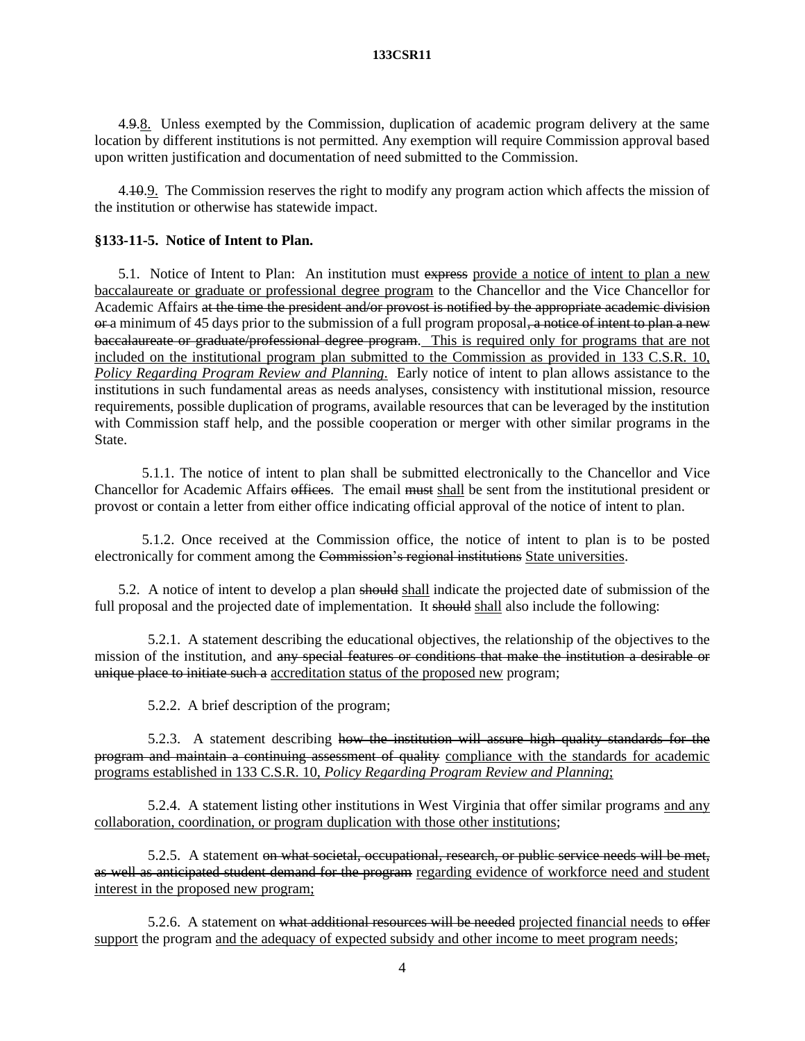4.9.8. Unless exempted by the Commission, duplication of academic program delivery at the same location by different institutions is not permitted. Any exemption will require Commission approval based upon written justification and documentation of need submitted to the Commission.

4.10.9. The Commission reserves the right to modify any program action which affects the mission of the institution or otherwise has statewide impact.

# **§133-11-5. Notice of Intent to Plan.**

5.1. Notice of Intent to Plan: An institution must express provide a notice of intent to plan a new baccalaureate or graduate or professional degree program to the Chancellor and the Vice Chancellor for Academic Affairs at the time the president and/or provost is notified by the appropriate academic division or a minimum of 45 days prior to the submission of a full program proposal, a notice of intent to plan a new baccalaureate or graduate/professional degree program. This is required only for programs that are not included on the institutional program plan submitted to the Commission as provided in 133 C.S.R. 10, *Policy Regarding Program Review and Planning*. Early notice of intent to plan allows assistance to the institutions in such fundamental areas as needs analyses, consistency with institutional mission, resource requirements, possible duplication of programs, available resources that can be leveraged by the institution with Commission staff help, and the possible cooperation or merger with other similar programs in the State.

5.1.1. The notice of intent to plan shall be submitted electronically to the Chancellor and Vice Chancellor for Academic Affairs offices. The email must shall be sent from the institutional president or provost or contain a letter from either office indicating official approval of the notice of intent to plan.

5.1.2. Once received at the Commission office, the notice of intent to plan is to be posted electronically for comment among the Commission's regional institutions State universities.

5.2. A notice of intent to develop a plan should shall indicate the projected date of submission of the full proposal and the projected date of implementation. It should shall also include the following:

5.2.1. A statement describing the educational objectives, the relationship of the objectives to the mission of the institution, and any special features or conditions that make the institution a desirable or unique place to initiate such a accreditation status of the proposed new program;

5.2.2. A brief description of the program;

5.2.3. A statement describing how the institution will assure high quality standards for the program and maintain a continuing assessment of quality compliance with the standards for academic programs established in 133 C.S.R. 10, *Policy Regarding Program Review and Planning*;

5.2.4. A statement listing other institutions in West Virginia that offer similar programs and any collaboration, coordination, or program duplication with those other institutions;

5.2.5. A statement on what societal, occupational, research, or public service needs will be met, as well as anticipated student demand for the program regarding evidence of workforce need and student interest in the proposed new program;

5.2.6. A statement on what additional resources will be needed projected financial needs to offer support the program and the adequacy of expected subsidy and other income to meet program needs;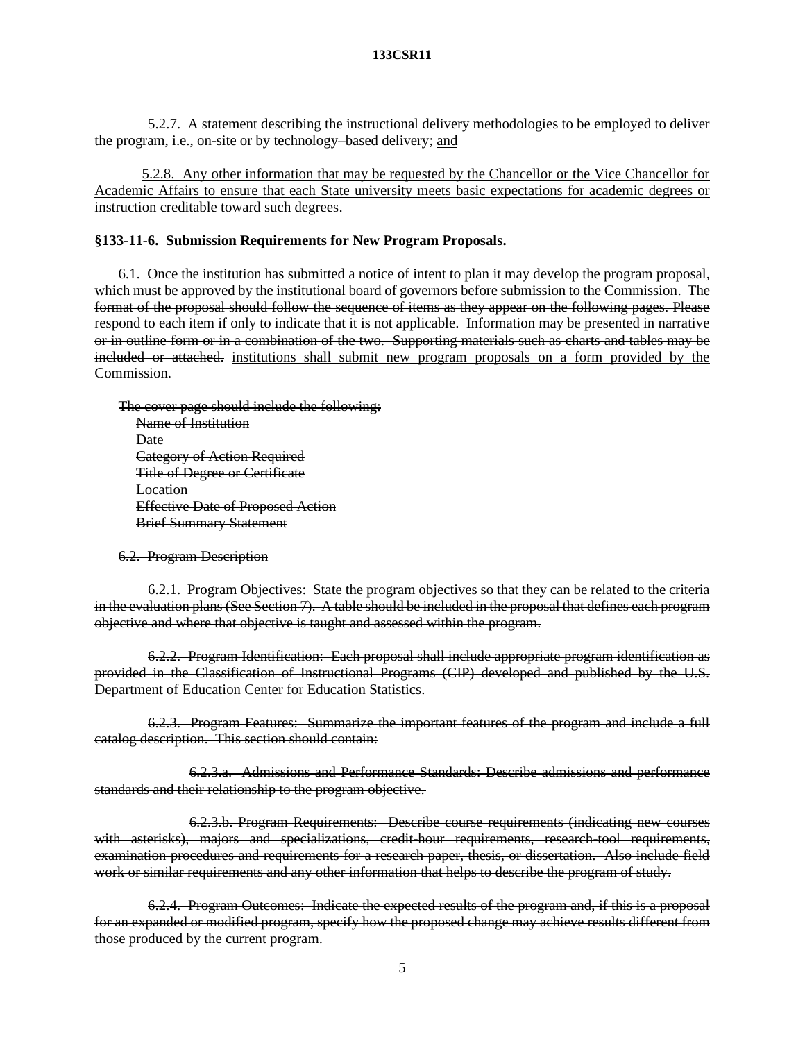5.2.7. A statement describing the instructional delivery methodologies to be employed to deliver the program, i.e., on-site or by technology–based delivery; and

5.2.8. Any other information that may be requested by the Chancellor or the Vice Chancellor for Academic Affairs to ensure that each State university meets basic expectations for academic degrees or instruction creditable toward such degrees.

# **§133-11-6. Submission Requirements for New Program Proposals.**

6.1. Once the institution has submitted a notice of intent to plan it may develop the program proposal, which must be approved by the institutional board of governors before submission to the Commission. The format of the proposal should follow the sequence of items as they appear on the following pages. Please respond to each item if only to indicate that it is not applicable. Information may be presented in narrative or in outline form or in a combination of the two. Supporting materials such as charts and tables may be included or attached. institutions shall submit new program proposals on a form provided by the Commission.

The cover page should include the following: Name of Institution **Date** Category of Action Required Title of Degree or Certificate Location Effective Date of Proposed Action Brief Summary Statement

6.2. Program Description

6.2.1. Program Objectives:State the program objectives so that they can be related to the criteria in the evaluation plans (See Section 7). A table should be included in the proposal that defines each program objective and where that objective is taught and assessed within the program.

6.2.2. Program Identification: Each proposal shall include appropriate program identification as provided in the Classification of Instructional Programs (CIP) developed and published by the U.S. Department of Education Center for Education Statistics.

6.2.3. Program Features:Summarize the important features of the program and include a full catalog description. This section should contain:

6.2.3.a. Admissions and Performance Standards: Describe admissions and performance standards and their relationship to the program objective.

6.2.3.b. Program Requirements: Describe course requirements (indicating new courses with asterisks), majors and specializations, credit-hour requirements, research-tool requirements, examination procedures and requirements for a research paper, thesis, or dissertation. Also include field work or similar requirements and any other information that helps to describe the program of study.

6.2.4. Program Outcomes: Indicate the expected results of the program and, if this is a proposal for an expanded or modified program, specify how the proposed change may achieve results different from those produced by the current program.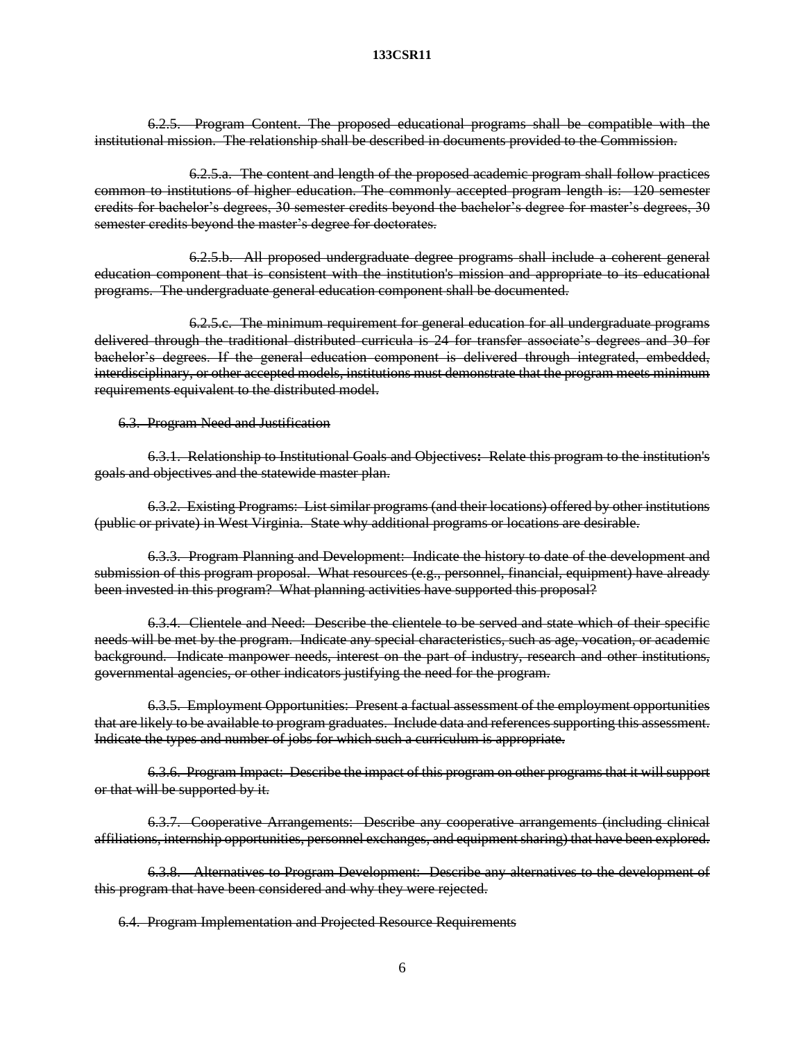6.2.5. Program Content. The proposed educational programs shall be compatible with the institutional mission. The relationship shall be described in documents provided to the Commission.

6.2.5.a. The content and length of the proposed academic program shall follow practices common to institutions of higher education. The commonly accepted program length is: 120 semester credits for bachelor's degrees, 30 semester credits beyond the bachelor's degree for master's degrees, 30 semester credits beyond the master's degree for doctorates.

6.2.5.b. All proposed undergraduate degree programs shall include a coherent general education component that is consistent with the institution's mission and appropriate to its educational programs. The undergraduate general education component shall be documented.

6.2.5.c. The minimum requirement for general education for all undergraduate programs delivered through the traditional distributed curricula is 24 for transfer associate's degrees and 30 for bachelor's degrees. If the general education component is delivered through integrated, embedded, interdisciplinary, or other accepted models, institutions must demonstrate that the program meets minimum requirements equivalent to the distributed model.

6.3. Program Need and Justification

6.3.1. Relationship to Institutional Goals and Objectives**:** Relate this program to the institution's goals and objectives and the statewide master plan.

6.3.2. Existing Programs: List similar programs (and their locations) offered by other institutions (public or private) in West Virginia. State why additional programs or locations are desirable.

6.3.3. Program Planning and Development: Indicate the history to date of the development and submission of this program proposal. What resources (e.g., personnel, financial, equipment) have already been invested in this program? What planning activities have supported this proposal?

6.3.4. Clientele and Need: Describe the clientele to be served and state which of their specific needs will be met by the program. Indicate any special characteristics, such as age, vocation, or academic background. Indicate manpower needs, interest on the part of industry, research and other institutions, governmental agencies, or other indicators justifying the need for the program.

6.3.5. Employment Opportunities: Present a factual assessment of the employment opportunities that are likely to be available to program graduates. Include data and references supporting this assessment. Indicate the types and number of jobs for which such a curriculum is appropriate.

6.3.6. Program Impact: Describe the impact of this program on other programs that it will support or that will be supported by it.

6.3.7. Cooperative Arrangements: Describe any cooperative arrangements (including clinical affiliations, internship opportunities, personnel exchanges, and equipment sharing) that have been explored.

6.3.8. Alternatives to Program Development: Describe any alternatives to the development of this program that have been considered and why they were rejected.

6.4. Program Implementation and Projected Resource Requirements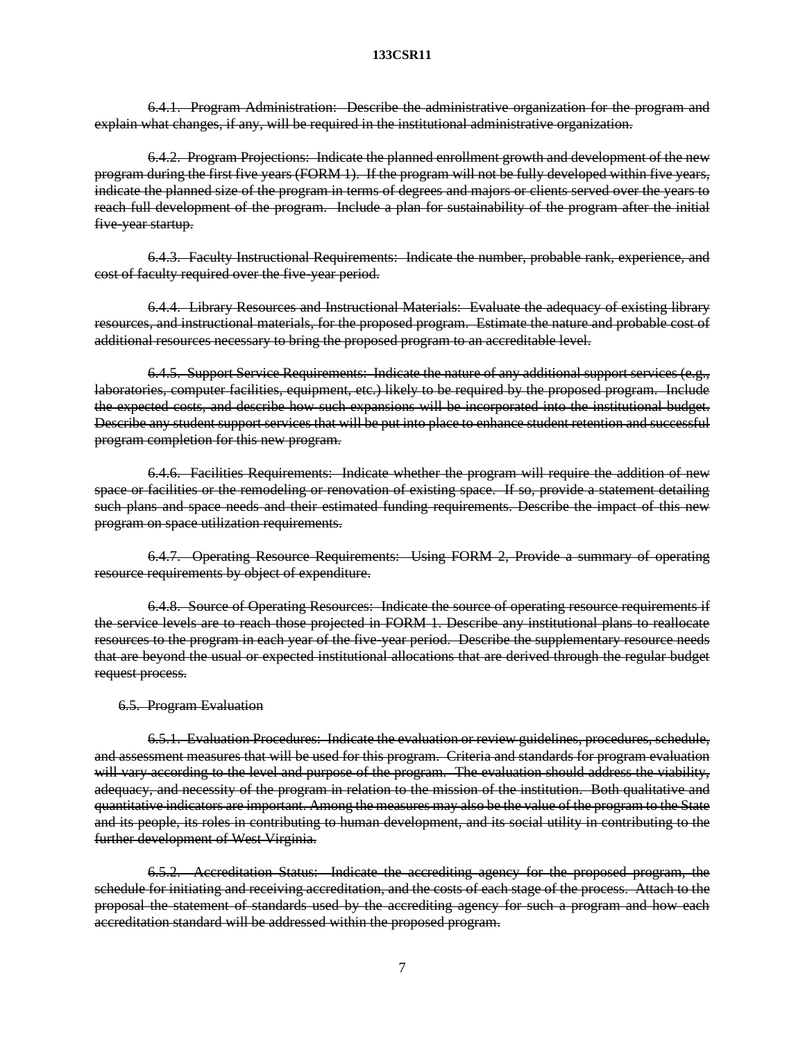6.4.1. Program Administration:Describe the administrative organization for the program and explain what changes, if any, will be required in the institutional administrative organization.

6.4.2. Program Projections: Indicate the planned enrollment growth and development of the new program during the first five years (FORM 1). If the program will not be fully developed within five years, indicate the planned size of the program in terms of degrees and majors or clients served over the years to reach full development of the program. Include a plan for sustainability of the program after the initial five-year startup.

6.4.3. Faculty Instructional Requirements: Indicate the number, probable rank, experience, and cost of faculty required over the five-year period.

6.4.4. Library Resources and Instructional Materials:Evaluate the adequacy of existing library resources, and instructional materials, for the proposed program. Estimate the nature and probable cost of additional resources necessary to bring the proposed program to an accreditable level.

6.4.5. Support Service Requirements: Indicate the nature of any additional support services (e.g., laboratories, computer facilities, equipment, etc.) likely to be required by the proposed program. Include the expected costs, and describe how such expansions will be incorporated into the institutional budget. Describe any student support services that will be put into place to enhance student retention and successful program completion for this new program.

6.4.6. Facilities Requirements: Indicate whether the program will require the addition of new space or facilities or the remodeling or renovation of existing space. If so, provide a statement detailing such plans and space needs and their estimated funding requirements. Describe the impact of this new program on space utilization requirements.

6.4.7. Operating Resource Requirements: Using FORM 2, Provide a summary of operating resource requirements by object of expenditure.

6.4.8. Source of Operating Resources: Indicate the source of operating resource requirements if the service levels are to reach those projected in FORM 1. Describe any institutional plans to reallocate resources to the program in each year of the five-year period. Describe the supplementary resource needs that are beyond the usual or expected institutional allocations that are derived through the regular budget request process.

# 6.5. Program Evaluation

6.5.1. Evaluation Procedures: Indicate the evaluation or review guidelines, procedures, schedule, and assessment measures that will be used for this program. Criteria and standards for program evaluation will vary according to the level and purpose of the program. The evaluation should address the viability, adequacy, and necessity of the program in relation to the mission of the institution. Both qualitative and quantitative indicators are important. Among the measures may also be the value of the program to the State and its people, its roles in contributing to human development, and its social utility in contributing to the further development of West Virginia.

6.5.2. Accreditation Status: Indicate the accrediting agency for the proposed program, the schedule for initiating and receiving accreditation, and the costs of each stage of the process. Attach to the proposal the statement of standards used by the accrediting agency for such a program and how each accreditation standard will be addressed within the proposed program.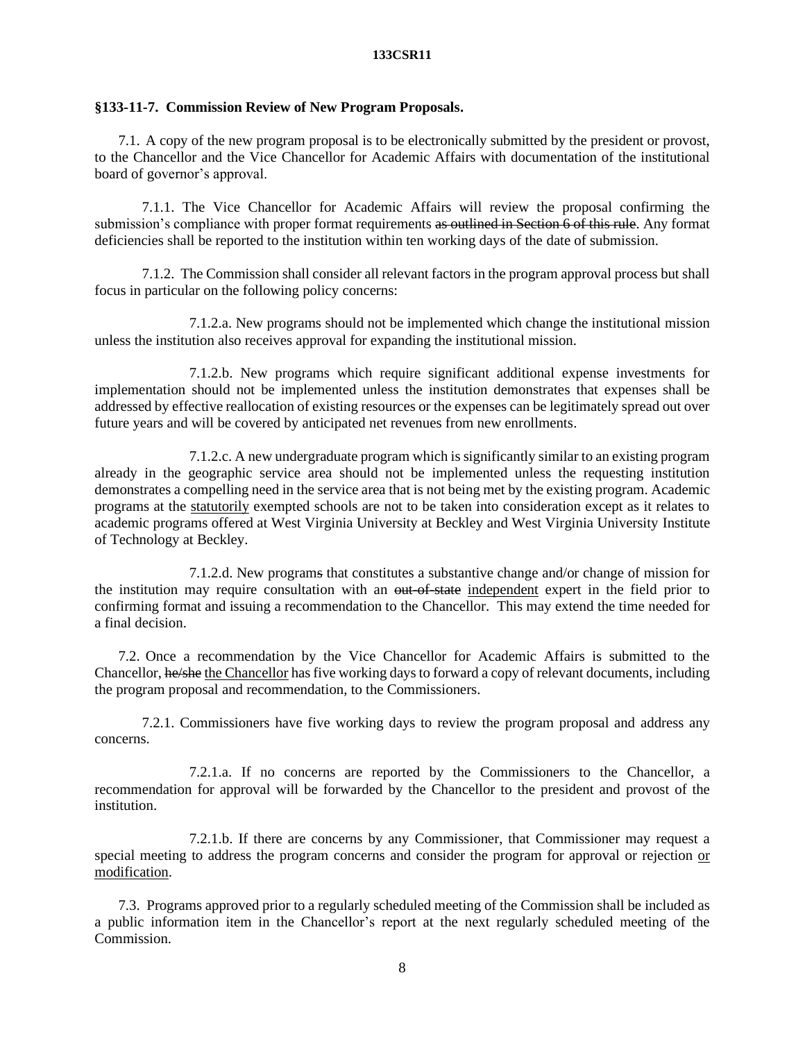# **§133-11-7. Commission Review of New Program Proposals.**

7.1. A copy of the new program proposal is to be electronically submitted by the president or provost, to the Chancellor and the Vice Chancellor for Academic Affairs with documentation of the institutional board of governor's approval.

7.1.1. The Vice Chancellor for Academic Affairs will review the proposal confirming the submission's compliance with proper format requirements as outlined in Section 6 of this rule. Any format deficiencies shall be reported to the institution within ten working days of the date of submission.

7.1.2. The Commission shall consider all relevant factors in the program approval process but shall focus in particular on the following policy concerns:

7.1.2.a. New programs should not be implemented which change the institutional mission unless the institution also receives approval for expanding the institutional mission.

7.1.2.b. New programs which require significant additional expense investments for implementation should not be implemented unless the institution demonstrates that expenses shall be addressed by effective reallocation of existing resources or the expenses can be legitimately spread out over future years and will be covered by anticipated net revenues from new enrollments.

7.1.2.c. A new undergraduate program which is significantly similar to an existing program already in the geographic service area should not be implemented unless the requesting institution demonstrates a compelling need in the service area that is not being met by the existing program. Academic programs at the statutorily exempted schools are not to be taken into consideration except as it relates to academic programs offered at West Virginia University at Beckley and West Virginia University Institute of Technology at Beckley.

7.1.2.d. New programs that constitutes a substantive change and/or change of mission for the institution may require consultation with an <del>out-of-state</del> independent expert in the field prior to confirming format and issuing a recommendation to the Chancellor. This may extend the time needed for a final decision.

7.2. Once a recommendation by the Vice Chancellor for Academic Affairs is submitted to the Chancellor, he/she the Chancellor has five working days to forward a copy of relevant documents, including the program proposal and recommendation, to the Commissioners.

7.2.1. Commissioners have five working days to review the program proposal and address any concerns.

7.2.1.a. If no concerns are reported by the Commissioners to the Chancellor, a recommendation for approval will be forwarded by the Chancellor to the president and provost of the institution.

7.2.1.b. If there are concerns by any Commissioner, that Commissioner may request a special meeting to address the program concerns and consider the program for approval or rejection or modification.

7.3. Programs approved prior to a regularly scheduled meeting of the Commission shall be included as a public information item in the Chancellor's report at the next regularly scheduled meeting of the Commission.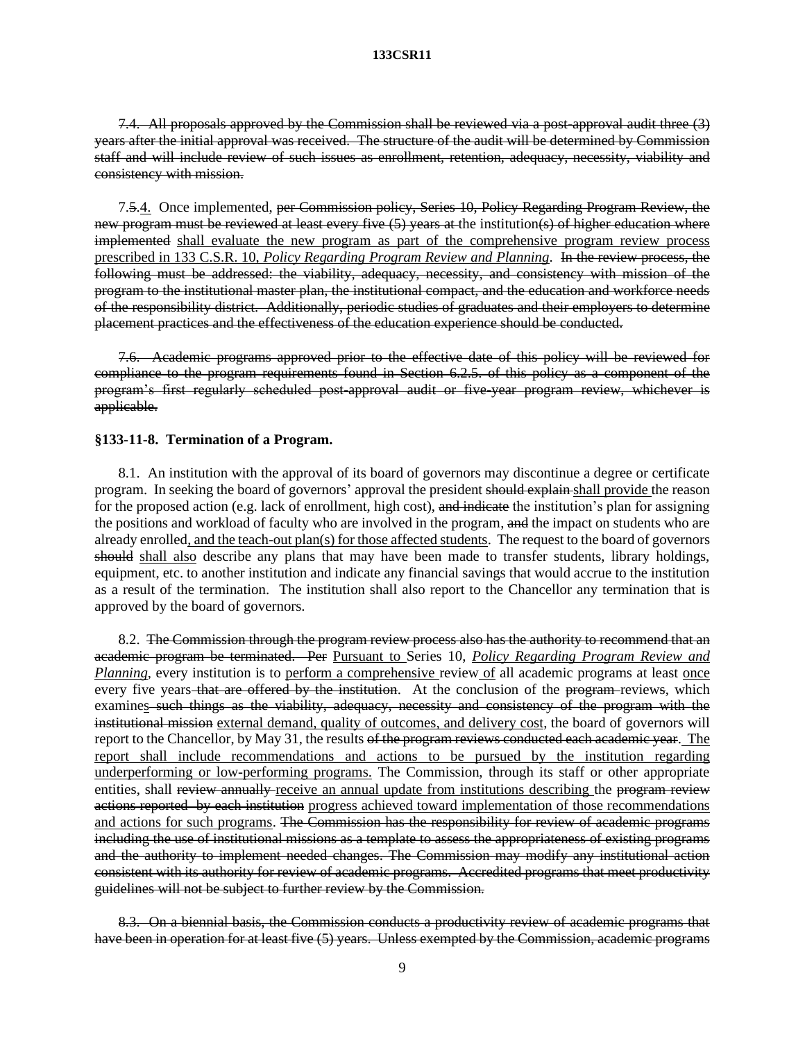7.4. All proposals approved by the Commission shall be reviewed via a post-approval audit three (3) years after the initial approval was received. The structure of the audit will be determined by Commission staff and will include review of such issues as enrollment, retention, adequacy, necessity, viability and consistency with mission.

7.5.4. Once implemented, per Commission policy, Series 10, Policy Regarding Program Review, the new program must be reviewed at least every five (5) years at the institution(s) of higher education where implemented shall evaluate the new program as part of the comprehensive program review process prescribed in 133 C.S.R. 10, *Policy Regarding Program Review and Planning*. In the review process, the following must be addressed: the viability, adequacy, necessity, and consistency with mission of the program to the institutional master plan, the institutional compact, and the education and workforce needs of the responsibility district. Additionally, periodic studies of graduates and their employers to determine placement practices and the effectiveness of the education experience should be conducted.

7.6. Academic programs approved prior to the effective date of this policy will be reviewed for compliance to the program requirements found in Section 6.2.5. of this policy as a component of the program's first regularly scheduled post-approval audit or five-year program review, whichever is applicable.

#### **§133-11-8. Termination of a Program.**

8.1. An institution with the approval of its board of governors may discontinue a degree or certificate program. In seeking the board of governors' approval the president should explain shall provide the reason for the proposed action (e.g. lack of enrollment, high cost), and indicate the institution's plan for assigning the positions and workload of faculty who are involved in the program, and the impact on students who are already enrolled, and the teach-out plan(s) for those affected students. The request to the board of governors should shall also describe any plans that may have been made to transfer students, library holdings, equipment, etc. to another institution and indicate any financial savings that would accrue to the institution as a result of the termination. The institution shall also report to the Chancellor any termination that is approved by the board of governors.

8.2. The Commission through the program review process also has the authority to recommend that an academic program be terminated. Per Pursuant to Series 10, *Policy Regarding Program Review and Planning*, every institution is to perform a comprehensive review of all academic programs at least <u>once</u> every five years–that are offered by the institution. At the conclusion of the program-reviews, which examines such things as the viability, adequacy, necessity and consistency of the program with the institutional mission external demand, quality of outcomes, and delivery cost, the board of governors will report to the Chancellor, by May 31, the results of the program reviews conducted each academic year. The report shall include recommendations and actions to be pursued by the institution regarding underperforming or low-performing programs. The Commission, through its staff or other appropriate entities, shall review annually-receive an annual update from institutions describing the program review actions reported by each institution progress achieved toward implementation of those recommendations and actions for such programs. The Commission has the responsibility for review of academic programs including the use of institutional missions as a template to assess the appropriateness of existing programs and the authority to implement needed changes. The Commission may modify any institutional action consistent with its authority for review of academic programs. Accredited programs that meet productivity guidelines will not be subject to further review by the Commission.

8.3. On a biennial basis, the Commission conducts a productivity review of academic programs that have been in operation for at least five (5) years. Unless exempted by the Commission, academic programs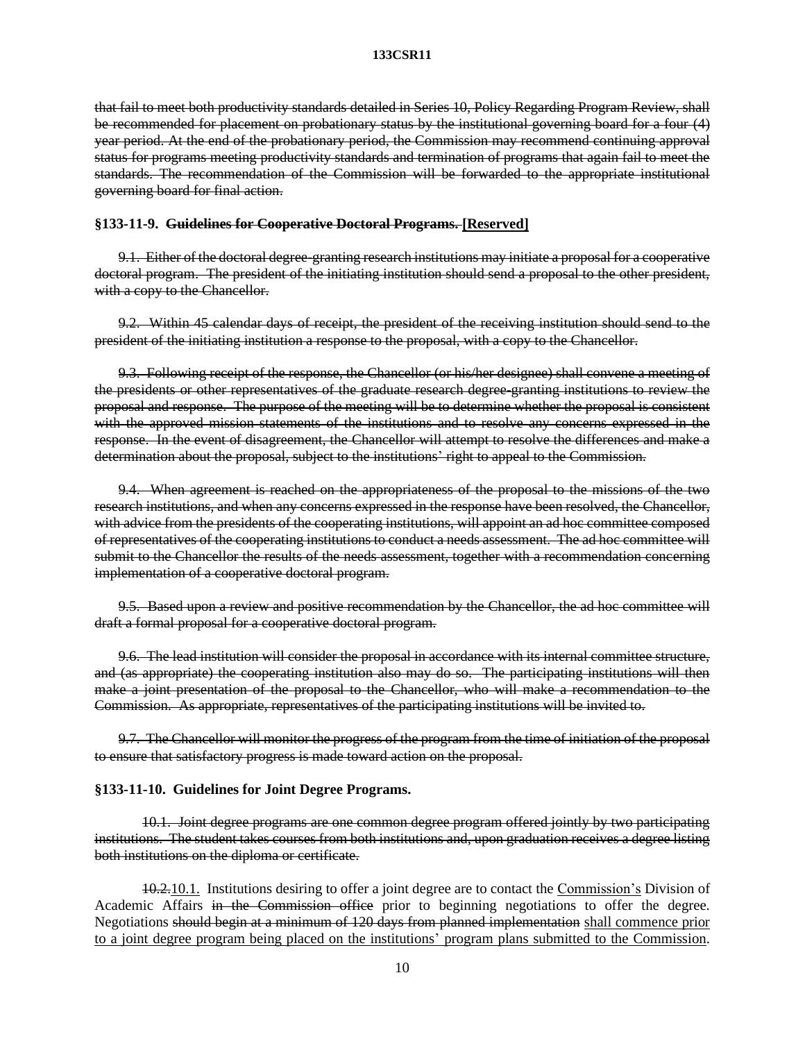that fail to meet both productivity standards detailed in Series 10, Policy Regarding Program Review, shall be recommended for placement on probationary status by the institutional governing board for a four (4) year period. At the end of the probationary period, the Commission may recommend continuing approval status for programs meeting productivity standards and termination of programs that again fail to meet the standards. The recommendation of the Commission will be forwarded to the appropriate institutional governing board for final action.

#### **§133-11-9. Guidelines for Cooperative Doctoral Programs. [Reserved]**

9.1. Either of the doctoral degree-granting research institutions may initiate a proposal for a cooperative doctoral program. The president of the initiating institution should send a proposal to the other president, with a copy to the Chancellor.

9.2. Within 45 calendar days of receipt, the president of the receiving institution should send to the president of the initiating institution a response to the proposal, with a copy to the Chancellor.

9.3. Following receipt of the response, the Chancellor (or his/her designee) shall convene a meeting of the presidents or other representatives of the graduate research degree-granting institutions to review the proposal and response. The purpose of the meeting will be to determine whether the proposal is consistent with the approved mission statements of the institutions and to resolve any concerns expressed in the response. In the event of disagreement, the Chancellor will attempt to resolve the differences and make a determination about the proposal, subject to the institutions' right to appeal to the Commission.

9.4. When agreement is reached on the appropriateness of the proposal to the missions of the two research institutions, and when any concerns expressed in the response have been resolved, the Chancellor, with advice from the presidents of the cooperating institutions, will appoint an ad hoc committee composed of representatives of the cooperating institutions to conduct a needs assessment. The ad hoc committee will submit to the Chancellor the results of the needs assessment, together with a recommendation concerning implementation of a cooperative doctoral program.

9.5. Based upon a review and positive recommendation by the Chancellor, the ad hoc committee will draft a formal proposal for a cooperative doctoral program.

9.6. The lead institution will consider the proposal in accordance with its internal committee structure, and (as appropriate) the cooperating institution also may do so. The participating institutions will then make a joint presentation of the proposal to the Chancellor, who will make a recommendation to the Commission. As appropriate, representatives of the participating institutions will be invited to.

9.7. The Chancellor will monitor the progress of the program from the time of initiation of the proposal to ensure that satisfactory progress is made toward action on the proposal.

# **§133-11-10. Guidelines for Joint Degree Programs.**

10.1. Joint degree programs are one common degree program offered jointly by two participating institutions. The student takes courses from both institutions and, upon graduation receives a degree listing both institutions on the diploma or certificate.

10.2.10.1. Institutions desiring to offer a joint degree are to contact the Commission's Division of Academic Affairs in the Commission office prior to beginning negotiations to offer the degree. Negotiations should begin at a minimum of 120 days from planned implementation shall commence prior to a joint degree program being placed on the institutions' program plans submitted to the Commission.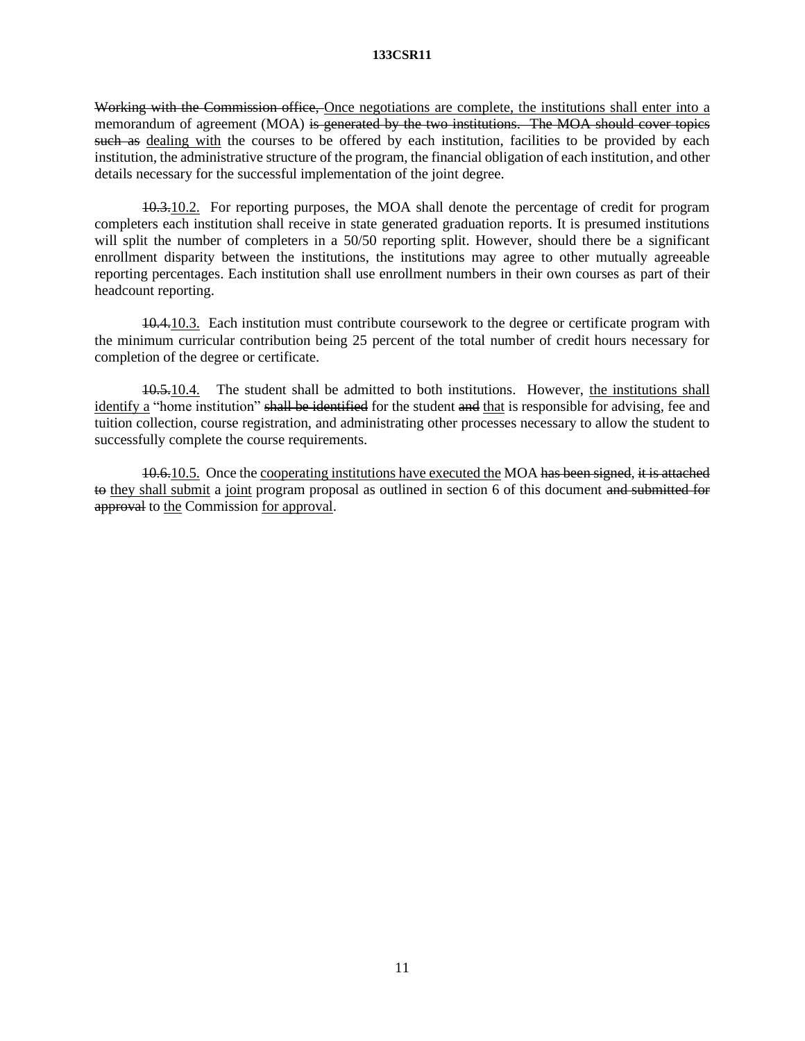Working with the Commission office, Once negotiations are complete, the institutions shall enter into a memorandum of agreement (MOA) is generated by the two institutions. The MOA should cover topics such as dealing with the courses to be offered by each institution, facilities to be provided by each institution, the administrative structure of the program, the financial obligation of each institution, and other details necessary for the successful implementation of the joint degree.

10.3.10.2. For reporting purposes, the MOA shall denote the percentage of credit for program completers each institution shall receive in state generated graduation reports. It is presumed institutions will split the number of completers in a 50/50 reporting split. However, should there be a significant enrollment disparity between the institutions, the institutions may agree to other mutually agreeable reporting percentages. Each institution shall use enrollment numbers in their own courses as part of their headcount reporting.

10.4.10.3. Each institution must contribute coursework to the degree or certificate program with the minimum curricular contribution being 25 percent of the total number of credit hours necessary for completion of the degree or certificate.

10.5.10.4. The student shall be admitted to both institutions. However, the institutions shall identify a "home institution" shall be identified for the student and that is responsible for advising, fee and tuition collection, course registration, and administrating other processes necessary to allow the student to successfully complete the course requirements.

10.6.10.5. Once the cooperating institutions have executed the MOA has been signed, it is attached to they shall submit a joint program proposal as outlined in section 6 of this document and submitted for approval to the Commission for approval.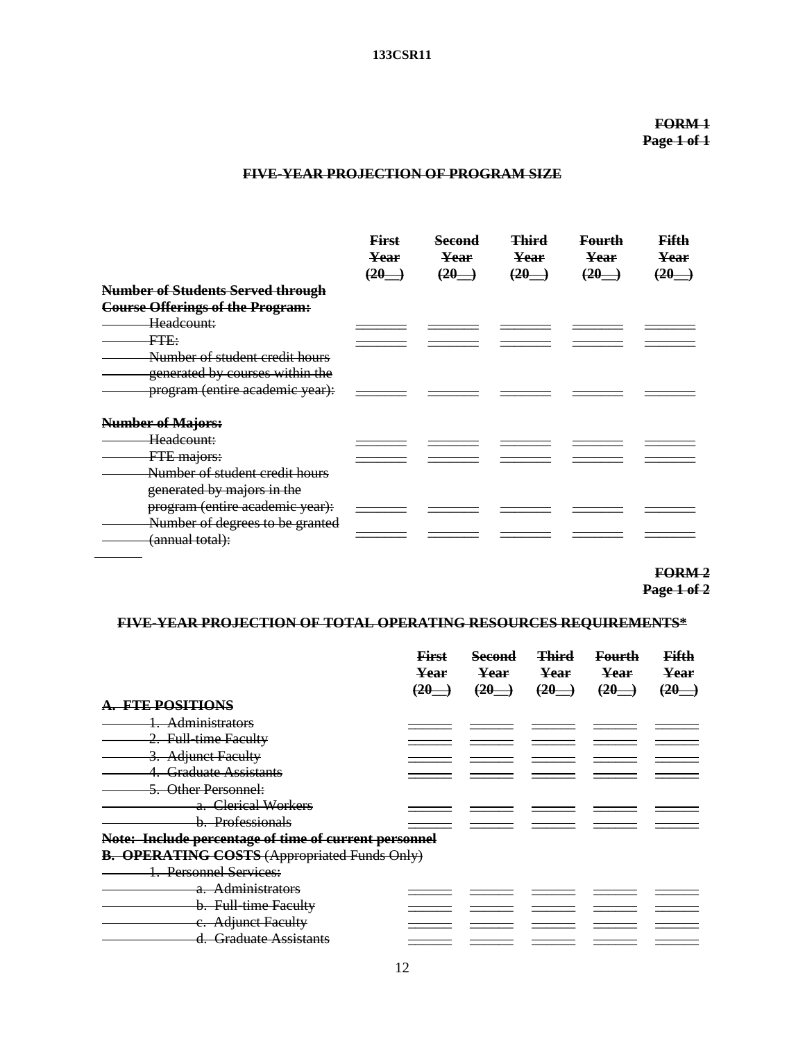# **FORM 1 Page 1 of 1**

# **FIVE-YEAR PROJECTION OF PROGRAM SIZE**

|                                         | <b>First</b><br>Year | <b>Second</b><br>Year | <b>Third</b>    | <b>Fourth</b><br>Year | Fifth           |
|-----------------------------------------|----------------------|-----------------------|-----------------|-----------------------|-----------------|
|                                         | $(20 -$              | $(20-)$               | Year<br>$(20 -$ | $(20-)$               | Year<br>$(20-)$ |
| Number of Students Served through       |                      |                       |                 |                       |                 |
| <b>Course Offerings of the Program:</b> |                      |                       |                 |                       |                 |
| Headcount:                              |                      |                       |                 |                       |                 |
| FTE:                                    |                      |                       |                 |                       |                 |
| Number of student credit hours          |                      |                       |                 |                       |                 |
| generated by courses within the         |                      |                       |                 |                       |                 |
| program (entire academic year):         |                      |                       |                 |                       |                 |
| <b>Number of Majors:</b>                |                      |                       |                 |                       |                 |
| Headcount:                              |                      |                       |                 |                       |                 |
| FTE majors:                             |                      |                       |                 |                       |                 |
| Number of student credit hours          |                      |                       |                 |                       |                 |
| generated by majors in the              |                      |                       |                 |                       |                 |
| program (entire academic year):         |                      |                       |                 |                       |                 |
| Number of degrees to be granted         |                      |                       |                 |                       |                 |
| (annual total):                         |                      |                       |                 |                       |                 |

**FORM 2**

# **Page 1 of 2**

# **FIVE-YEAR PROJECTION OF TOTAL OPERATING RESOURCES REQUIREMENTS\***

|                                                       | <b>First</b><br>Year<br>$(20 -$ | <b>Second</b><br>Year<br>$(20 -$ | <b>Third</b><br>Year<br>$\overline{20}$ . | <b>Fourth</b><br>Year<br>$(20 -$ | Fifth<br>Year<br>$(20-)$ |
|-------------------------------------------------------|---------------------------------|----------------------------------|-------------------------------------------|----------------------------------|--------------------------|
| TE POSITIONS                                          |                                 |                                  |                                           |                                  |                          |
| Administrators                                        |                                 |                                  |                                           |                                  |                          |
| 2. Full-time Faculty                                  |                                 |                                  |                                           |                                  |                          |
| <b>Adjunct Faculty</b>                                |                                 |                                  |                                           |                                  |                          |
| <b>Graduate Assistants</b>                            |                                 |                                  |                                           |                                  |                          |
| Other Personnel:                                      |                                 |                                  |                                           |                                  |                          |
| a. Clerical Workers                                   |                                 |                                  |                                           |                                  |                          |
| b. Professionals                                      |                                 |                                  |                                           |                                  |                          |
| Note: Include percentage of time of current personnel |                                 |                                  |                                           |                                  |                          |
| <b>B. OPERATING COSTS (Appropriated Funds Only)</b>   |                                 |                                  |                                           |                                  |                          |
| <b>Personnel Services:</b>                            |                                 |                                  |                                           |                                  |                          |
| <b>Administrators</b><br>a.                           |                                 |                                  |                                           |                                  |                          |
| b. Full-time Faculty                                  |                                 |                                  |                                           |                                  |                          |
| e. Adjunct Faculty                                    |                                 |                                  |                                           |                                  |                          |
| <b>Graduate Assistants</b><br>d.                      |                                 |                                  |                                           |                                  |                          |